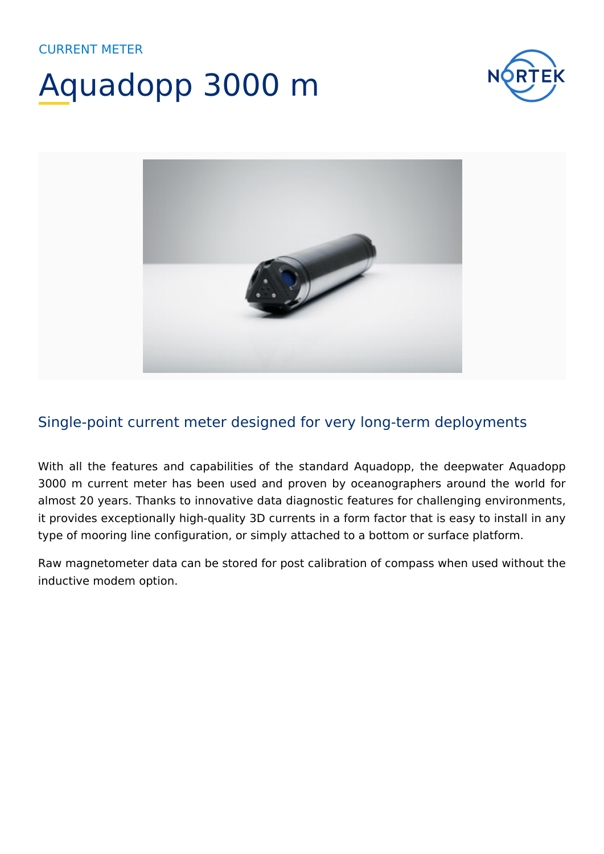## Aquadopp 3000 m





### Single-point current meter designed for very long-term deployments

With all the features and capabilities of the standard Aquadopp, the deepwater Aquadopp 3000 m current meter has been used and proven by oceanographers around the world for almost 20 years. Thanks to innovative data diagnostic features for challenging environments, it provides exceptionally high-quality 3D currents in a form factor that is easy to install in any type of mooring line configuration, or simply attached to a bottom or surface platform.

Raw magnetometer data can be stored for post calibration of compass when used without the inductive modem option.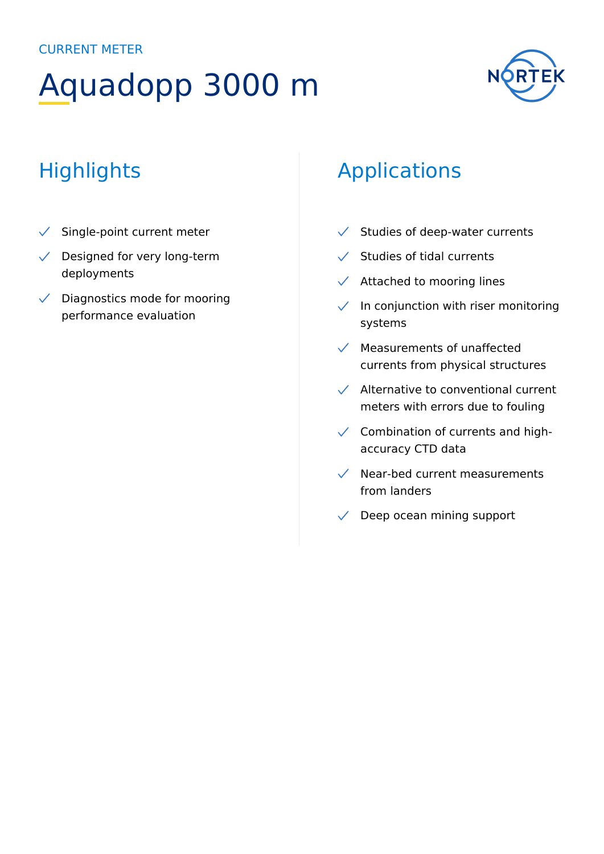## Aquadopp 3000 m



## **Highlights**

- $\checkmark$  Single-point current meter
- $\sqrt{\phantom{a}}$  Designed for very long-term deployments
- $\sqrt{\phantom{a}}$  Diagnostics mode for mooring performance evaluation

### Applications

- $\checkmark$  Studies of deep-water currents
- $\checkmark$  Studies of tidal currents
- $\sqrt{\phantom{a}}$  Attached to mooring lines
- $\checkmark$  In conjunction with riser monitoring systems
- $\sqrt{\phantom{a}}$  Measurements of unaffected currents from physical structures
- $\sqrt{\phantom{a}}$  Alternative to conventional current meters with errors due to fouling
- $\checkmark$  Combination of currents and highaccuracy CTD data
- $\sqrt{\phantom{a}}$  Near-bed current measurements from landers
- $\sqrt{\phantom{a}}$  Deep ocean mining support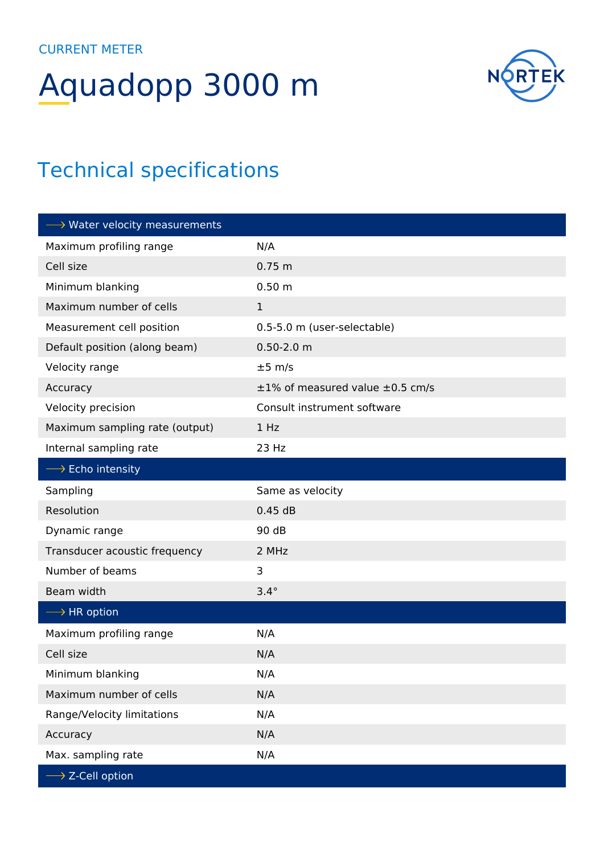# Aquadopp 3000 m



### Technical specifications

| $\longrightarrow$ Water velocity measurements |                                            |
|-----------------------------------------------|--------------------------------------------|
| Maximum profiling range                       | N/A                                        |
| Cell size                                     | 0.75 m                                     |
| Minimum blanking                              | 0.50 m                                     |
| Maximum number of cells                       | $\mathbf{1}$                               |
| Measurement cell position                     | 0.5-5.0 m (user-selectable)                |
| Default position (along beam)                 | $0.50 - 2.0$ m                             |
| Velocity range                                | $±5$ m/s                                   |
| Accuracy                                      | $\pm 1\%$ of measured value $\pm 0.5$ cm/s |
| Velocity precision                            | Consult instrument software                |
| Maximum sampling rate (output)                | 1 Hz                                       |
| Internal sampling rate                        | 23 Hz                                      |
| $\longrightarrow$ Echo intensity              |                                            |
| Sampling                                      | Same as velocity                           |
| Resolution                                    | 0.45dB                                     |
| Dynamic range                                 | 90 dB                                      |
| Transducer acoustic frequency                 | 2 MHz                                      |
| Number of beams                               | 3                                          |
| Beam width                                    | $3.4^\circ$                                |
| $\longrightarrow$ HR option                   |                                            |
| Maximum profiling range                       | N/A                                        |
| Cell size                                     | N/A                                        |
| Minimum blanking                              | N/A                                        |
| Maximum number of cells                       | N/A                                        |
| Range/Velocity limitations                    | N/A                                        |
| Accuracy                                      | N/A                                        |
| Max. sampling rate                            | N/A                                        |
| $\rightarrow$ Z-Cell option                   |                                            |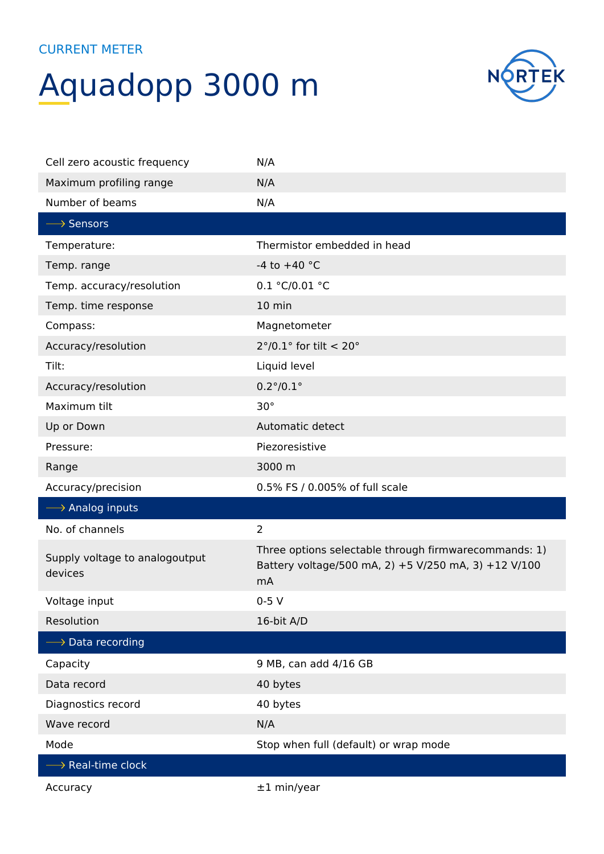## Aquadopp 3000 m



| Cell zero acoustic frequency              | N/A                                                                                                                 |
|-------------------------------------------|---------------------------------------------------------------------------------------------------------------------|
| Maximum profiling range                   | N/A                                                                                                                 |
| Number of beams                           | N/A                                                                                                                 |
| $\longrightarrow$ Sensors                 |                                                                                                                     |
| Temperature:                              | Thermistor embedded in head                                                                                         |
| Temp. range                               | -4 to $+40$ °C                                                                                                      |
| Temp. accuracy/resolution                 | 0.1 °C/0.01 °C                                                                                                      |
| Temp. time response                       | 10 min                                                                                                              |
| Compass:                                  | Magnetometer                                                                                                        |
| Accuracy/resolution                       | $2^{\circ}/0.1^{\circ}$ for tilt < 20°                                                                              |
| Tilt:                                     | Liquid level                                                                                                        |
| Accuracy/resolution                       | $0.2^{\circ}/0.1^{\circ}$                                                                                           |
| Maximum tilt                              | $30^{\circ}$                                                                                                        |
| Up or Down                                | Automatic detect                                                                                                    |
| Pressure:                                 | Piezoresistive                                                                                                      |
| Range                                     | 3000 m                                                                                                              |
| Accuracy/precision                        | 0.5% FS / 0.005% of full scale                                                                                      |
| $\longrightarrow$ Analog inputs           |                                                                                                                     |
| No. of channels                           | $\overline{2}$                                                                                                      |
| Supply voltage to analogoutput<br>devices | Three options selectable through firmwarecommands: 1)<br>Battery voltage/500 mA, 2) +5 V/250 mA, 3) +12 V/100<br>mA |
| Voltage input                             | $0-5V$                                                                                                              |
| Resolution                                | 16-bit A/D                                                                                                          |
| $\longrightarrow$ Data recording          |                                                                                                                     |
| Capacity                                  | 9 MB, can add 4/16 GB                                                                                               |
| Data record                               | 40 bytes                                                                                                            |
| Diagnostics record                        | 40 bytes                                                                                                            |
| Wave record                               | N/A                                                                                                                 |
| Mode                                      | Stop when full (default) or wrap mode                                                                               |
| $\longrightarrow$ Real-time clock         |                                                                                                                     |
| Accuracy                                  | $±1$ min/year                                                                                                       |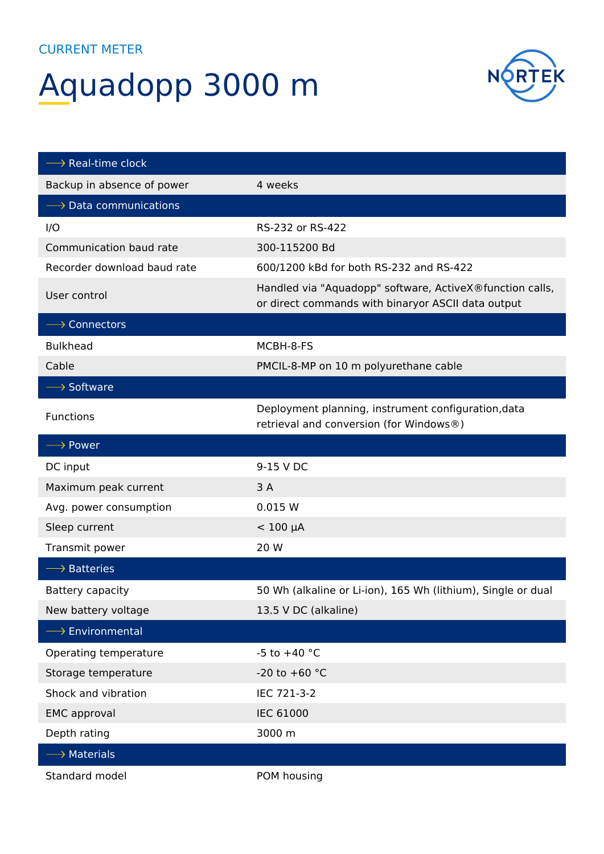## Aquadopp 3000 m



| $\longrightarrow$ Real-time clock     |                                                                                                                |
|---------------------------------------|----------------------------------------------------------------------------------------------------------------|
| Backup in absence of power            | 4 weeks                                                                                                        |
| $\longrightarrow$ Data communications |                                                                                                                |
| I/O                                   | RS-232 or RS-422                                                                                               |
| Communication baud rate               | 300-115200 Bd                                                                                                  |
| Recorder download baud rate           | 600/1200 kBd for both RS-232 and RS-422                                                                        |
| User control                          | Handled via "Aquadopp" software, ActiveX®function calls,<br>or direct commands with binaryor ASCII data output |
| $\longrightarrow$ Connectors          |                                                                                                                |
| <b>Bulkhead</b>                       | MCBH-8-FS                                                                                                      |
| Cable                                 | PMCIL-8-MP on 10 m polyurethane cable                                                                          |
| $\longrightarrow$ Software            |                                                                                                                |
| Functions                             | Deployment planning, instrument configuration, data<br>retrieval and conversion (for Windows®)                 |
| $\longrightarrow$ Power               |                                                                                                                |
| DC input                              | 9-15 V DC                                                                                                      |
| Maximum peak current                  | 3A                                                                                                             |
| Avg. power consumption                | 0.015 W                                                                                                        |
| Sleep current                         | $< 100 \mu A$                                                                                                  |
| Transmit power                        | 20 W                                                                                                           |
| $\longrightarrow$ Batteries           |                                                                                                                |
| Battery capacity                      | 50 Wh (alkaline or Li-ion), 165 Wh (lithium), Single or dual                                                   |
| New battery voltage                   | 13.5 V DC (alkaline)                                                                                           |
| $\longrightarrow$ Environmental       |                                                                                                                |
| Operating temperature                 | -5 to $+40$ °C                                                                                                 |
| Storage temperature                   | -20 to +60 $^{\circ}$ C                                                                                        |
| Shock and vibration                   | IEC 721-3-2                                                                                                    |
| <b>EMC</b> approval                   | <b>IEC 61000</b>                                                                                               |
| Depth rating                          | 3000 m                                                                                                         |
| $\longrightarrow$ Materials           |                                                                                                                |
| Standard model                        | POM housing                                                                                                    |